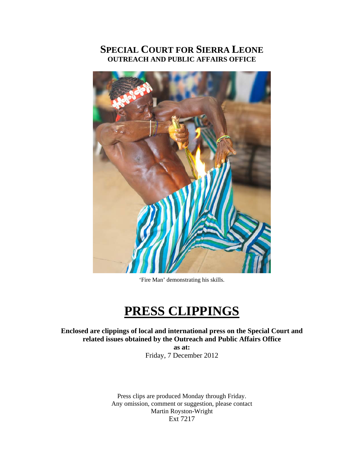#### **SPECIAL COURT FOR SIERRA LEONE OUTREACH AND PUBLIC AFFAIRS OFFICE**



'Fire Man' demonstrating his skills.

### **PRESS CLIPPINGS**

**Enclosed are clippings of local and international press on the Special Court and related issues obtained by the Outreach and Public Affairs Office** 

> **as at:**  Friday, 7 December 2012

Press clips are produced Monday through Friday. Any omission, comment or suggestion, please contact Martin Royston-Wright Ext 7217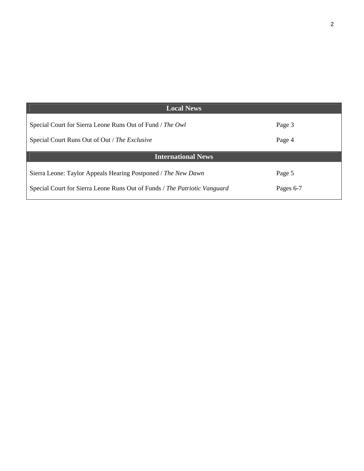| <b>Local News</b>                                                         |           |
|---------------------------------------------------------------------------|-----------|
| Special Court for Sierra Leone Runs Out of Fund / The Owl                 | Page 3    |
| Special Court Runs Out of Out / The Exclusive                             | Page 4    |
| <b>International News</b>                                                 |           |
| Sierra Leone: Taylor Appeals Hearing Postponed / The New Dawn             | Page 5    |
| Special Court for Sierra Leone Runs Out of Funds / The Patriotic Vanguard | Pages 6-7 |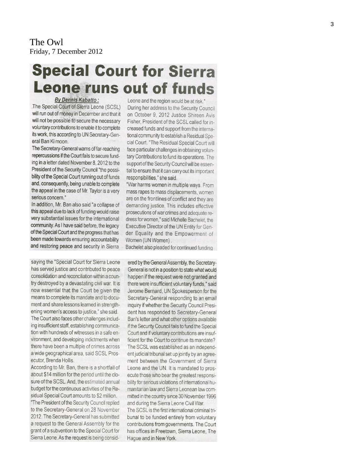The Owl Friday, 7 December 2012

## **Special Court for Sierra Leone runs out of funds**

By Dennis Kabatto:

The Special Court of Sierra Leone (SCSL) will run out of money in December and that it will not be possible to secure the necessary voluntary contributions to enable it to complete its work, this according to UN Secretary-General Ban Kimoon.

The Secretary-General warns of far-reaching repercussions if the Court fails to secure funding in a letter dated November 8, 2012 to the President of the Security Council "the possibility of the Special Court running out of funds and, consequently, being unable to complete the appeal in the case of Mr. Taylor is a very serious concern."

In addition, Mr. Ban also said "a collapse of this appeal due to lack of funding would raise very substantial issues for the international community. As I have said before, the legacy of the Special Court and the progress that has been made towards ensuring accountability and restoring peace and security in Sierra

saying the "Special Court for Sierra Leone has served justice and contributed to peace consolidation and reconciliation within a country destroyed by a devastating civil war. It is now essential that the Court be given the means to complete its mandate and to document and share lessons learned in strengthening women's access to justice," she said. The Court also faces other challenges including insufficient staff, establishing communication with hundreds of witnesses in a safe environment, and developing indictments when there have been a multiple of crimes across a wide geographical area, said SCSL Prosecutor, Brenda Hollis.

According to Mr. Ban, there is a shortfall of about \$14 million for the period until the closure of the SCSL. And, the estimated annual budget for the continuous activities of the Residual Special Court amounts to \$2 million.

"The President of the Security Council replied to the Secretary-General on 28 November 2012. The Secretary-General has submitted a request to the General Assembly for the grant of a subvention to the Special Court for Sierra Leone. As the request is being consid-

Leone and the region would be at risk." During her address to the Security Council on October 9, 2012 Justice Shireen Avis Fisher, President of the SCSL called for increased funds and support from the international community to establish a Residual Special Court. "The Residual Special Court will face particular challenges in obtaining voluntary Contributions to fund its operations. The support of the Security Council will be essential to ensure that it can carry out its important responsibilities." she said.

"War harms women in multiple ways. From mass rapes to mass displacements, women are on the frontlines of conflict and they are demanding justice. This includes effective prosecutions of war crimes and adequate redress for women," said Michelle Bachelet, the Executive Director of the UN Entity for Gender Equality and the Empowerment of Women (UN Women).

Bachelet also pleaded for continued funding

ered by the General Assembly, the Secretary-General is not in a position to state what would happen if the request were not granted and there were insufficient voluntary funds," said Jerome Bernard, UN Spokesperson for the Secretary-General responding to an email inquiry if whether the Security Council President has responded to Secretary-General Ban's letter and what other options available if the Security Council fails to fund the Special Court and if voluntary contributions are insufficient for the Court to continue its mandate? The SCSL was established as an independent judicial tribunal set up jointly by an agreement between the Government of Sierra Leone and the UN. It is mandated to prosecute those who bear the greatest responsibility for serious violations of international humanitarian law and Sierra Leonean law committed in the country since 30 November 1996 and during the Sierra Leone Civil War.

The SCSL is the first international criminal tribunal to be funded entirely from voluntary contributions from governments. The Court has offices in Freetown, Sierra Leone, The Hague and in New York.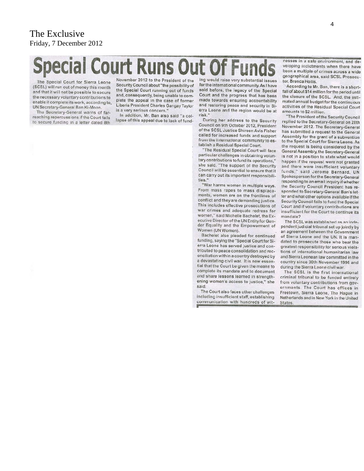#### The Exclusive Friday, 7 December 2012

# **Special Court Runs Out Of Fund**

The Special Court for Sierra Leone (SCSL) will run out of money this month and that it will not be possible to secure the necessary voluntary contributions to enable it complete its work, according to, UN Secretary-General Ban Ki-Moon.

The Secretary-General warns of farreaching repercussions if the Court fails to secure funding in a letter dated 8th November 2012 to the President of the Security Council about "the possibility of the Special Court running out of funds and, consequently, being unable to complete the appeal in the case of former Liberia President Charles Gangay Taylor is a very serious concern.'

In addition, Mr. Ban also said "a collapse of this appeal due to lack of funding would raise very substantial issues for the international community. As I have said before, the legacy of the Special Court and the progress that has been made towards ensuring accountability and restoring peace and security in Sierra Leone and the region would be at risk.'

During her address to the Security Council on 9th October 2012, President of the SCSL Justice Shireen Avis Fisher called for increased funds and support from the international community to establish a Residual Special Court.

"The Residual Special Court will face particular challenges in obtaining voluntary contributions to fund its operations," she said. "The support of the Security Council will be essential to ensure that it can carry out its important responsibilities."

"War harms women in multiple ways. From mass rapes to mass displacements, women are on the frontlines of conflict and they are demanding justice. This includes effective prosecutions of war crimes and adequate redress for women," said Michelle Bachelet, the Executive Director of the UN Entity for Gender Equality and the Empowerment of Women (UN Women).

Bachelet also pleaded for continued funding, saying the "Special Court for Sierra Leone has served justice and contributed to peace consolidation and reconciliation within a country destroyed by a devastating civil war. It is now essential that the Court be given the means to complete its mandate and to document and share lessons learned in strengthening women's access to justice," she said.

The Court also faces other challenges including insufficient staff, establishing communication with hundreds of witnesses in a safe environment, and developing indictments when there have been a multiple of crimes across a wide geographical area, said SCSL Prosecutor, Brenda Hollis.

According to Mr. Ban, there is a shortfall of about \$14 million for the period until the closure of the SCSL. And, the estimated annual budget for the continuous activities of the Residual Special Court amounts to \$2 million.

The President of the Security Council replied to the Secretary-General on 28th November 2012. The Secretary-General has submitted a request to the General Assembly for the grant of a subvention to the Special Court for Sierra Leone. As the request is being considered by the General Assembly, the Secretary-General is not in a position to state what would happen if the request were not granted and there were insufficient voluntary funds," said Jerome Bernard, UN Spokesperson for the Secretary-General responding to an email inquiry if whether the Security Council President has responded to Secretary-General Ban's letter and what other options available if the Security Council fails to fund the Special Court and if voluntary contributions are insufficient for the Court to continue its mandate?

The SCSL was established as an independent judicial tribunal set up jointly by an agreement between the Government of Sierra Leone and the UN. It is mandated to prosecute those who bear the greatest responsibility for serious violations of international humanitarian law and Sierra Leonean law committed in the country since 30th November 1996 and during the Sierra Leone civil war.

The SCSL is the first international criminal tribunal to be funded entirely from voluntary contributions from governments. The Court has offices in Freetown, Sierra Leone, The Hague in Netherlands and in New York in the United **States**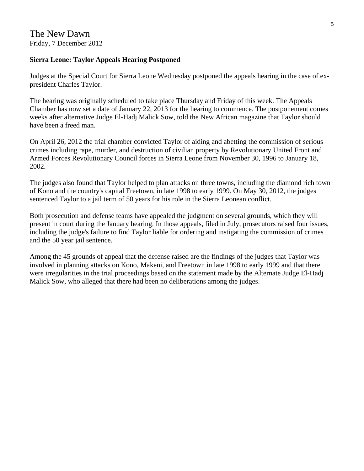#### **Sierra Leone: Taylor Appeals Hearing Postponed**

Judges at the Special Court for Sierra Leone Wednesday postponed the appeals hearing in the case of expresident Charles Taylor.

The hearing was originally scheduled to take place Thursday and Friday of this week. The Appeals Chamber has now set a date of January 22, 2013 for the hearing to commence. The postponement comes weeks after alternative Judge El-Hadj Malick Sow, told the New African magazine that Taylor should have been a freed man.

On April 26, 2012 the trial chamber convicted Taylor of aiding and abetting the commission of serious crimes including rape, murder, and destruction of civilian property by Revolutionary United Front and Armed Forces Revolutionary Council forces in Sierra Leone from November 30, 1996 to January 18, 2002.

The judges also found that Taylor helped to plan attacks on three towns, including the diamond rich town of Kono and the country's capital Freetown, in late 1998 to early 1999. On May 30, 2012, the judges sentenced Taylor to a jail term of 50 years for his role in the Sierra Leonean conflict.

Both prosecution and defense teams have appealed the judgment on several grounds, which they will present in court during the January hearing. In those appeals, filed in July, prosecutors raised four issues, including the judge's failure to find Taylor liable for ordering and instigating the commission of crimes and the 50 year jail sentence.

Among the 45 grounds of appeal that the defense raised are the findings of the judges that Taylor was involved in planning attacks on Kono, Makeni, and Freetown in late 1998 to early 1999 and that there were irregularities in the trial proceedings based on the statement made by the Alternate Judge El-Hadj Malick Sow, who alleged that there had been no deliberations among the judges.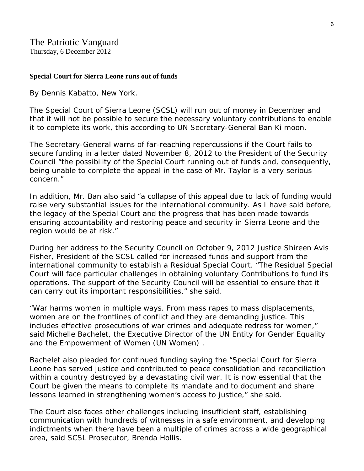#### **Special Court for Sierra Leone runs out of funds**

By Dennis Kabatto, New York.

The Special Court of Sierra Leone (SCSL) will run out of money in December and that it will not be possible to secure the necessary voluntary contributions to enable it to complete its work, this according to UN Secretary-General Ban Ki moon.

The Secretary-General warns of far-reaching repercussions if the Court fails to secure funding in a letter dated November 8, 2012 to the President of the Security Council "the possibility of the Special Court running out of funds and, consequently, being unable to complete the appeal in the case of Mr. Taylor is a very serious concern."

In addition, Mr. Ban also said "a collapse of this appeal due to lack of funding would raise very substantial issues for the international community. As I have said before, the legacy of the Special Court and the progress that has been made towards ensuring accountability and restoring peace and security in Sierra Leone and the region would be at risk."

During her address to the Security Council on October 9, 2012 Justice Shireen Avis Fisher, President of the SCSL called for increased funds and support from the international community to establish a Residual Special Court. "The Residual Special Court will face particular challenges in obtaining voluntary Contributions to fund its operations. The support of the Security Council will be essential to ensure that it can carry out its important responsibilities," she said.

"War harms women in multiple ways. From mass rapes to mass displacements, women are on the frontlines of conflict and they are demanding justice. This includes effective prosecutions of war crimes and adequate redress for women," said Michelle Bachelet, the Executive Director of the UN Entity for Gender Equality and the Empowerment of Women (UN Women) .

Bachelet also pleaded for continued funding saying the "Special Court for Sierra Leone has served justice and contributed to peace consolidation and reconciliation within a country destroyed by a devastating civil war. It is now essential that the Court be given the means to complete its mandate and to document and share lessons learned in strengthening women's access to justice," she said.

The Court also faces other challenges including insufficient staff, establishing communication with hundreds of witnesses in a safe environment, and developing indictments when there have been a multiple of crimes across a wide geographical area, said SCSL Prosecutor, Brenda Hollis.